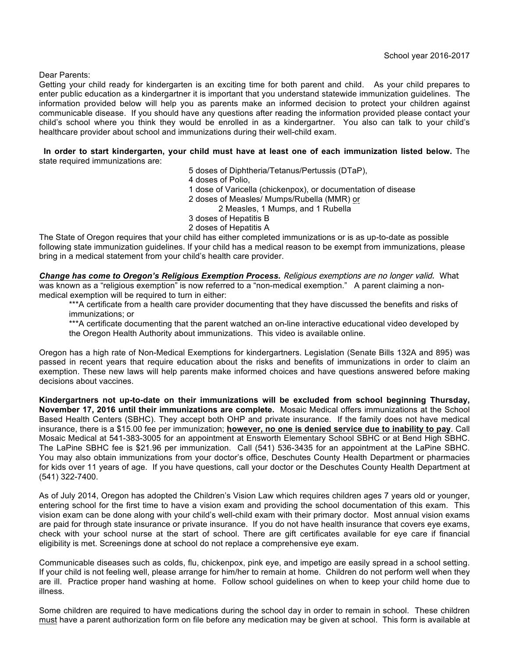Dear Parents:

Getting your child ready for kindergarten is an exciting time for both parent and child. As your child prepares to enter public education as a kindergartner it is important that you understand statewide immunization guidelines. The information provided below will help you as parents make an informed decision to protect your children against communicable disease. If you should have any questions after reading the information provided please contact your child's school where you think they would be enrolled in as a kindergartner. You also can talk to your child's healthcare provider about school and immunizations during their well-child exam.

 **In order to start kindergarten, your child must have at least one of each immunization listed below.** The state required immunizations are:

5 doses of Diphtheria/Tetanus/Pertussis (DTaP),

4 doses of Polio,

1 dose of Varicella (chickenpox), or documentation of disease

2 doses of Measles/ Mumps/Rubella (MMR) or

2 Measles, 1 Mumps, and 1 Rubella

3 doses of Hepatitis B

2 doses of Hepatitis A

The State of Oregon requires that your child has either completed immunizations or is as up-to-date as possible following state immunization guidelines. If your child has a medical reason to be exempt from immunizations, please bring in a medical statement from your child's health care provider.

*Change has come to Oregon's Religious Exemption Process.* Religious exemptions are no longer valid. What was known as a "religious exemption" is now referred to a "non-medical exemption." A parent claiming a nonmedical exemption will be required to turn in either:

\*\*\*A certificate from a health care provider documenting that they have discussed the benefits and risks of immunizations; or

\*\*\*A certificate documenting that the parent watched an on-line interactive educational video developed by the Oregon Health Authority about immunizations. This video is available online.

Oregon has a high rate of Non-Medical Exemptions for kindergartners. Legislation (Senate Bills 132A and 895) was passed in recent years that require education about the risks and benefits of immunizations in order to claim an exemption. These new laws will help parents make informed choices and have questions answered before making decisions about vaccines.

**Kindergartners not up-to-date on their immunizations will be excluded from school beginning Thursday, November 17, 2016 until their immunizations are complete.** Mosaic Medical offers immunizations at the School Based Health Centers (SBHC). They accept both OHP and private insurance. If the family does not have medical insurance, there is a \$15.00 fee per immunization; **however, no one is denied service due to inability to pay**. Call Mosaic Medical at 541-383-3005 for an appointment at Ensworth Elementary School SBHC or at Bend High SBHC. The LaPine SBHC fee is \$21.96 per immunization. Call (541) 536-3435 for an appointment at the LaPine SBHC. You may also obtain immunizations from your doctor's office, Deschutes County Health Department or pharmacies for kids over 11 years of age. If you have questions, call your doctor or the Deschutes County Health Department at (541) 322-7400.

As of July 2014, Oregon has adopted the Children's Vision Law which requires children ages 7 years old or younger, entering school for the first time to have a vision exam and providing the school documentation of this exam. This vision exam can be done along with your child's well-child exam with their primary doctor. Most annual vision exams are paid for through state insurance or private insurance. If you do not have health insurance that covers eye exams, check with your school nurse at the start of school. There are gift certificates available for eye care if financial eligibility is met. Screenings done at school do not replace a comprehensive eye exam.

Communicable diseases such as colds, flu, chickenpox, pink eye, and impetigo are easily spread in a school setting. If your child is not feeling well, please arrange for him/her to remain at home. Children do not perform well when they are ill. Practice proper hand washing at home. Follow school guidelines on when to keep your child home due to illness.

Some children are required to have medications during the school day in order to remain in school. These children must have a parent authorization form on file before any medication may be given at school. This form is available at